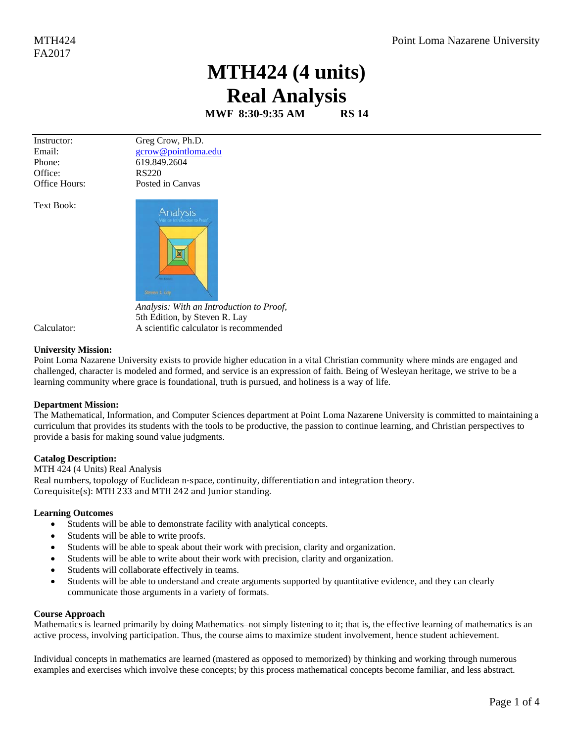## MTH424 (4 units) **Real Analysis**

MWF 8:30-9:35 AM **RS 14** 

Instructor: Email: Phone: Office: Office Hours: Greg Crow, Ph.D. gcrow@pointloma.edu 619.849.2604 **RS220** Posted in Canvas

**Text Book:** 



Analysis: With an Introduction to Proof, 5th Edition, by Steven R. Lay A scientific calculator is recommended

Calculator:

## **University Mission:**

Point Loma Nazarene University exists to provide higher education in a vital Christian community where minds are engaged and challenged, character is modeled and formed, and service is an expression of faith. Being of Wesleyan heritage, we strive to be a learning community where grace is foundational, truth is pursued, and holiness is a way of life.

## **Department Mission:**

The Mathematical, Information, and Computer Sciences department at Point Loma Nazarene University is committed to maintaining a curriculum that provides its students with the tools to be productive, the passion to continue learning, and Christian perspectives to provide a basis for making sound value judgments.

## **Catalog Description:**

MTH 424 (4 Units) Real Analysis Real numbers, topology of Euclidean n-space, continuity, differentiation and integration theory. Corequisite(s): MTH 233 and MTH 242 and Junior standing.

## **Learning Outcomes**

- Students will be able to demonstrate facility with analytical concepts.
- Students will be able to write proofs.  $\bullet$
- Students will be able to speak about their work with precision, clarity and organization.
- Students will be able to write about their work with precision, clarity and organization.
- Students will collaborate effectively in teams.  $\bullet$
- Students will be able to understand and create arguments supported by quantitative evidence, and they can clearly communicate those arguments in a variety of formats.

## **Course Approach**

Mathematics is learned primarily by doing Mathematics–not simply listening to it; that is, the effective learning of mathematics is an active process, involving participation. Thus, the course aims to maximize student involvement, hence student achievement.

Individual concepts in mathematics are learned (mastered as opposed to memorized) by thinking and working through numerous examples and exercises which involve these concepts; by this process mathematical concepts become familiar, and less abstract.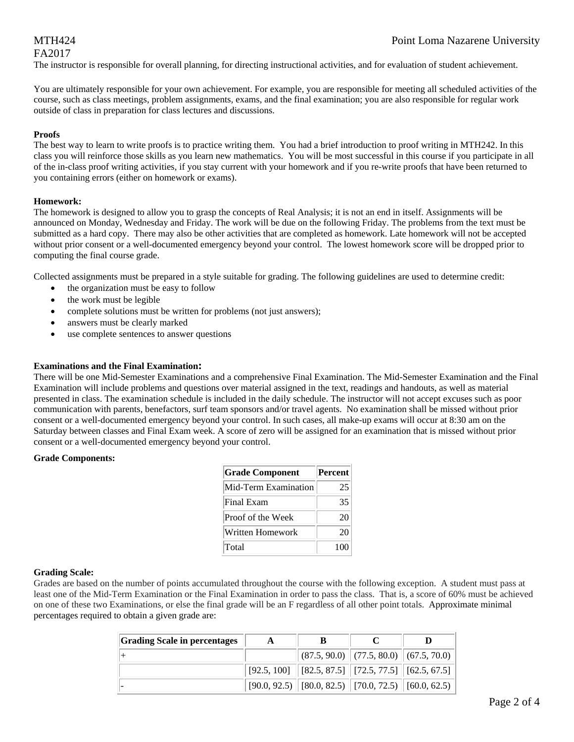# FA2017

The instructor is responsible for overall planning, for directing instructional activities, and for evaluation of student achievement.

You are ultimately responsible for your own achievement. For example, you are responsible for meeting all scheduled activities of the course, such as class meetings, problem assignments, exams, and the final examination; you are also responsible for regular work outside of class in preparation for class lectures and discussions.

#### **Proofs**

The best way to learn to write proofs is to practice writing them. You had a brief introduction to proof writing in MTH242. In this class you will reinforce those skills as you learn new mathematics. You will be most successful in this course if you participate in all of the in-class proof writing activities, if you stay current with your homework and if you re-write proofs that have been returned to you containing errors (either on homework or exams).

#### **Homework:**

The homework is designed to allow you to grasp the concepts of Real Analysis; it is not an end in itself. Assignments will be announced on Monday, Wednesday and Friday. The work will be due on the following Friday. The problems from the text must be submitted as a hard copy. There may also be other activities that are completed as homework. Late homework will not be accepted without prior consent or a well-documented emergency beyond your control. The lowest homework score will be dropped prior to computing the final course grade.

Collected assignments must be prepared in a style suitable for grading. The following guidelines are used to determine credit:

- the organization must be easy to follow
- the work must be legible
- complete solutions must be written for problems (not just answers);
- answers must be clearly marked
- use complete sentences to answer questions

#### **Examinations and the Final Examination:**

There will be one Mid-Semester Examinations and a comprehensive Final Examination. The Mid-Semester Examination and the Final Examination will include problems and questions over material assigned in the text, readings and handouts, as well as material presented in class. The examination schedule is included in the daily schedule. The instructor will not accept excuses such as poor communication with parents, benefactors, surf team sponsors and/or travel agents. No examination shall be missed without prior consent or a well-documented emergency beyond your control. In such cases, all make-up exams will occur at 8:30 am on the Saturday between classes and Final Exam week. A score of zero will be assigned for an examination that is missed without prior consent or a well-documented emergency beyond your control.

#### **Grade Components:**

| <b>Grade Component</b> | Percent |
|------------------------|---------|
| Mid-Term Examination   | 25      |
| Final Exam             | 35      |
| Proof of the Week      | 20      |
| Written Homework       | 20      |
| Total                  | 100     |

## **Grading Scale:**

Grades are based on the number of points accumulated throughout the course with the following exception. A student must pass at least one of the Mid-Term Examination or the Final Examination in order to pass the class. That is, a score of 60% must be achieved on one of these two Examinations, or else the final grade will be an F regardless of all other point totals. Approximate minimal percentages required to obtain a given grade are:

| <b>Grading Scale in percentages</b> |                                                                                |  |
|-------------------------------------|--------------------------------------------------------------------------------|--|
|                                     | $\ $ (87.5, 90.0) $\ $ (77.5, 80.0) $\ $ (67.5, 70.0)                          |  |
|                                     | $\mid$ [92.5, 100] $\mid$ [82.5, 87.5] $\mid$ [72.5, 77.5] $\mid$ [62.5, 67.5] |  |
|                                     | $[90.0, 92.5)$ $[80.0, 82.5)$ $[70.0, 72.5)$ $[60.0, 62.5)$                    |  |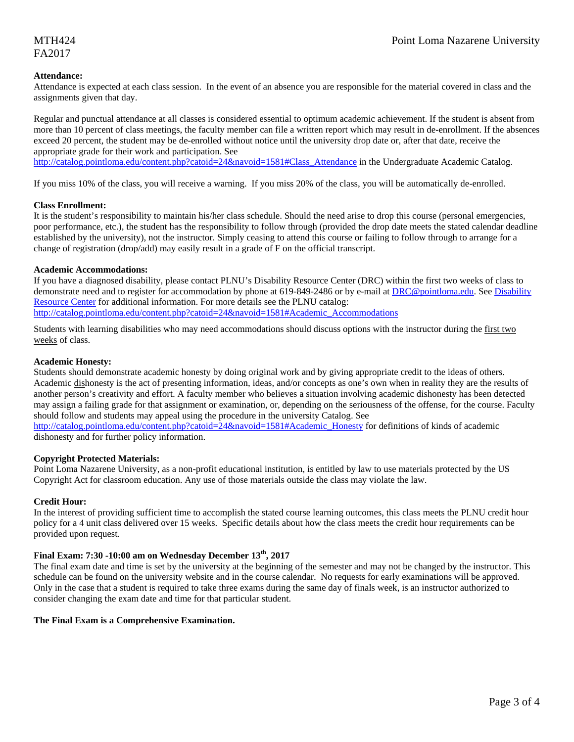#### **Attendance:**

Attendance is expected at each class session. In the event of an absence you are responsible for the material covered in class and the assignments given that day.

Regular and punctual attendance at all classes is considered essential to optimum academic achievement. If the student is absent from more than 10 percent of class meetings, the faculty member can file a written report which may result in de-enrollment. If the absences exceed 20 percent, the student may be de-enrolled without notice until the university drop date or, after that date, receive the appropriate grade for their work and participation. See

http://catalog.pointloma.edu/content.php?catoid=24&navoid=1581#Class\_Attendance in the Undergraduate Academic Catalog.

If you miss 10% of the class, you will receive a warning. If you miss 20% of the class, you will be automatically de-enrolled.

#### **Class Enrollment:**

It is the student's responsibility to maintain his/her class schedule. Should the need arise to drop this course (personal emergencies, poor performance, etc.), the student has the responsibility to follow through (provided the drop date meets the stated calendar deadline established by the university), not the instructor. Simply ceasing to attend this course or failing to follow through to arrange for a change of registration (drop/add) may easily result in a grade of F on the official transcript.

#### **Academic Accommodations:**

If you have a diagnosed disability, please contact PLNU's Disability Resource Center (DRC) within the first two weeks of class to demonstrate need and to register for accommodation by phone at 619-849-2486 or by e-mail at DRC@pointloma.edu. See Disability Resource Center for additional information. For more details see the PLNU catalog: http://catalog.pointloma.edu/content.php?catoid=24&navoid=1581#Academic\_Accommodations

Students with learning disabilities who may need accommodations should discuss options with the instructor during the first two weeks of class.

#### **Academic Honesty:**

Students should demonstrate academic honesty by doing original work and by giving appropriate credit to the ideas of others. Academic dishonesty is the act of presenting information, ideas, and/or concepts as one's own when in reality they are the results of another person's creativity and effort. A faculty member who believes a situation involving academic dishonesty has been detected may assign a failing grade for that assignment or examination, or, depending on the seriousness of the offense, for the course. Faculty should follow and students may appeal using the procedure in the university Catalog. See http://catalog.pointloma.edu/content.php?catoid=24&navoid=1581#Academic\_Honesty for definitions of kinds of academic

dishonesty and for further policy information.

#### **Copyright Protected Materials:**

Point Loma Nazarene University, as a non-profit educational institution, is entitled by law to use materials protected by the US Copyright Act for classroom education. Any use of those materials outside the class may violate the law.

#### **Credit Hour:**

In the interest of providing sufficient time to accomplish the stated course learning outcomes, this class meets the PLNU credit hour policy for a 4 unit class delivered over 15 weeks. Specific details about how the class meets the credit hour requirements can be provided upon request.

## **Final Exam: 7:30 -10:00 am on Wednesday December 13th, 2017**

The final exam date and time is set by the university at the beginning of the semester and may not be changed by the instructor. This schedule can be found on the university website and in the course calendar. No requests for early examinations will be approved. Only in the case that a student is required to take three exams during the same day of finals week, is an instructor authorized to consider changing the exam date and time for that particular student.

#### **The Final Exam is a Comprehensive Examination.**